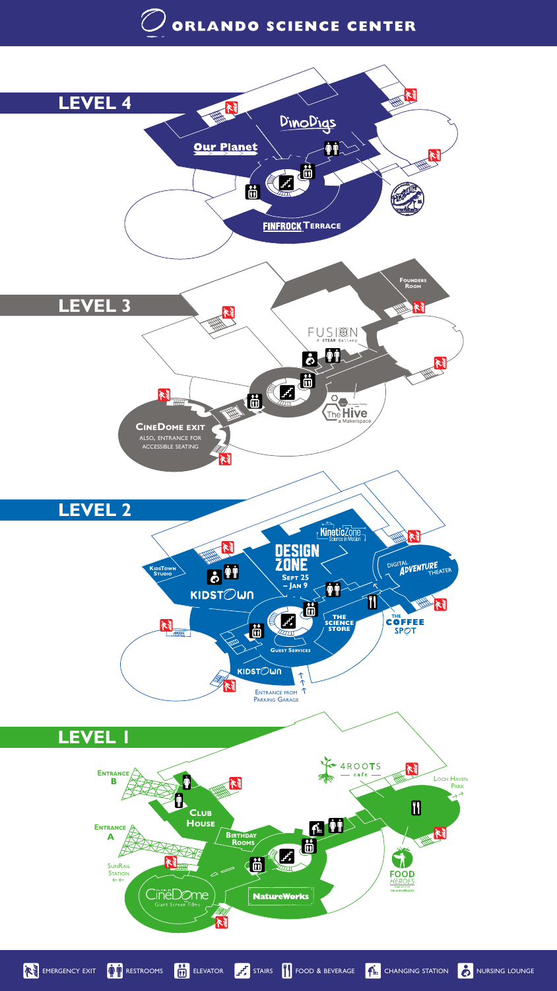# ORLANDO SCIENCE CENTER